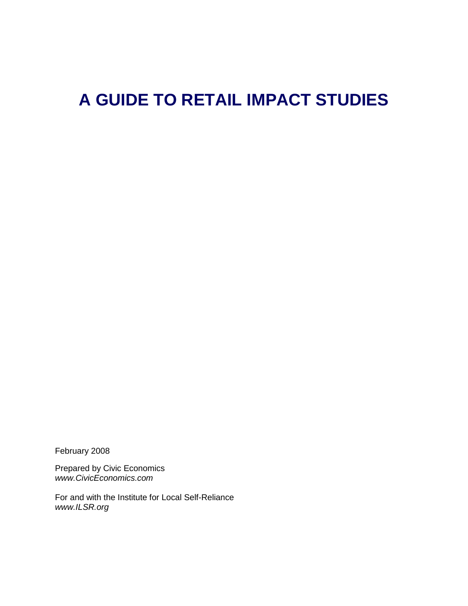# **A GUIDE TO RETAIL IMPACT STUDIES**

February 2008

Prepared by Civic Economics *www.CivicEconomics.com*

For and with the Institute for Local Self-Reliance *www.ILSR.org*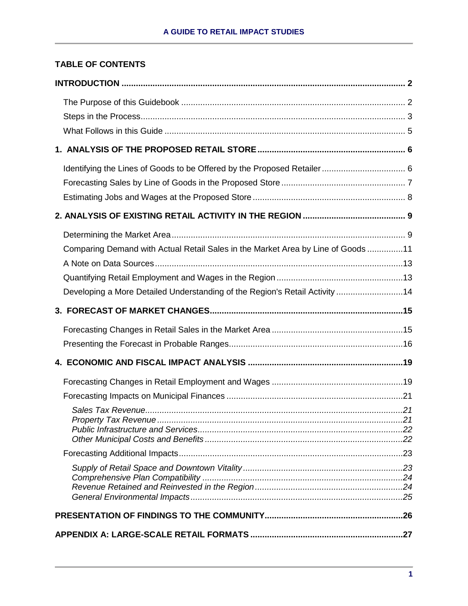# **TABLE OF CONTENTS**

| Comparing Demand with Actual Retail Sales in the Market Area by Line of Goods 11<br>Developing a More Detailed Understanding of the Region's Retail Activity 14 |  |
|-----------------------------------------------------------------------------------------------------------------------------------------------------------------|--|
|                                                                                                                                                                 |  |
|                                                                                                                                                                 |  |
|                                                                                                                                                                 |  |
|                                                                                                                                                                 |  |
|                                                                                                                                                                 |  |
|                                                                                                                                                                 |  |
|                                                                                                                                                                 |  |
|                                                                                                                                                                 |  |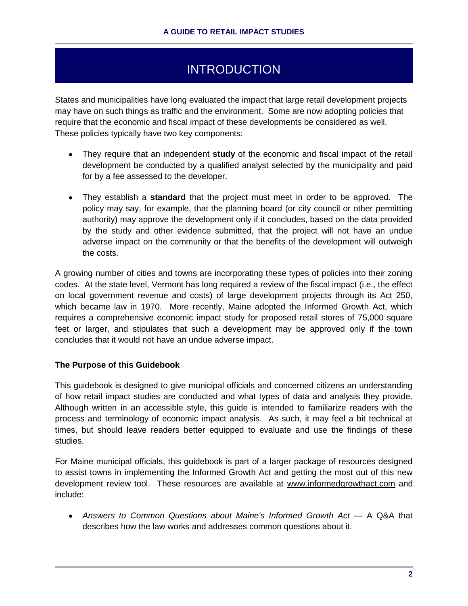# **INTRODUCTION**

States and municipalities have long evaluated the impact that large retail development projects may have on such things as traffic and the environment. Some are now adopting policies that require that the economic and fiscal impact of these developments be considered as well. These policies typically have two key components:

- They require that an independent **study** of the economic and fiscal impact of the retail development be conducted by a qualified analyst selected by the municipality and paid for by a fee assessed to the developer.
- They establish a **standard** that the project must meet in order to be approved. The policy may say, for example, that the planning board (or city council or other permitting authority) may approve the development only if it concludes, based on the data provided by the study and other evidence submitted, that the project will not have an undue adverse impact on the community or that the benefits of the development will outweigh the costs.

A growing number of cities and towns are incorporating these types of policies into their zoning codes. At the state level, Vermont has long required a review of the fiscal impact (i.e., the effect on local government revenue and costs) of large development projects through its Act 250, which became law in 1970. More recently, Maine adopted the Informed Growth Act, which requires a comprehensive economic impact study for proposed retail stores of 75,000 square feet or larger, and stipulates that such a development may be approved only if the town concludes that it would not have an undue adverse impact.

# **The Purpose of this Guidebook**

This guidebook is designed to give municipal officials and concerned citizens an understanding of how retail impact studies are conducted and what types of data and analysis they provide. Although written in an accessible style, this guide is intended to familiarize readers with the process and terminology of economic impact analysis. As such, it may feel a bit technical at times, but should leave readers better equipped to evaluate and use the findings of these studies.

For Maine municipal officials, this guidebook is part of a larger package of resources designed to assist towns in implementing the Informed Growth Act and getting the most out of this new development review tool. These resources are available at www.informedgrowthact.com and include:

*Answers to Common Questions about Maine's Informed Growth Act* — A Q&A that describes how the law works and addresses common questions about it.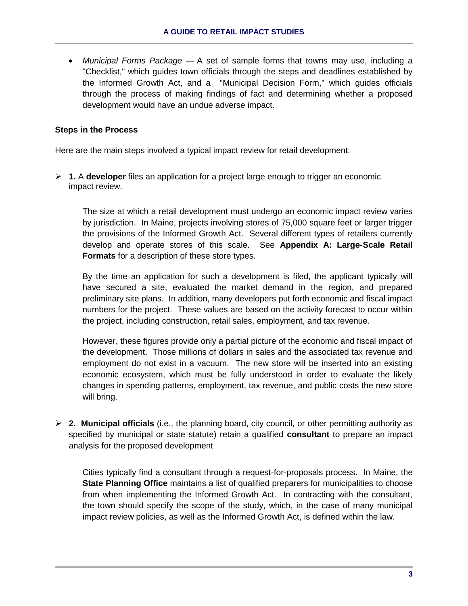*Municipal Forms Package* — A set of sample forms that towns may use, including a "Checklist," which guides town officials through the steps and deadlines established by the Informed Growth Act, and a "Municipal Decision Form," which guides officials through the process of making findings of fact and determining whether a proposed development would have an undue adverse impact.

# **Steps in the Process**

Here are the main steps involved a typical impact review for retail development:

 **1.** A **developer** files an application for a project large enough to trigger an economic impact review.

The size at which a retail development must undergo an economic impact review varies by jurisdiction. In Maine, projects involving stores of 75,000 square feet or larger trigger the provisions of the Informed Growth Act. Several different types of retailers currently develop and operate stores of this scale. See **Appendix A: Large-Scale Retail Formats** for a description of these store types.

By the time an application for such a development is filed, the applicant typically will have secured a site, evaluated the market demand in the region, and prepared preliminary site plans. In addition, many developers put forth economic and fiscal impact numbers for the project. These values are based on the activity forecast to occur within the project, including construction, retail sales, employment, and tax revenue.

However, these figures provide only a partial picture of the economic and fiscal impact of the development. Those millions of dollars in sales and the associated tax revenue and employment do not exist in a vacuum. The new store will be inserted into an existing economic ecosystem, which must be fully understood in order to evaluate the likely changes in spending patterns, employment, tax revenue, and public costs the new store will bring.

 **2. Municipal officials** (i.e., the planning board, city council, or other permitting authority as specified by municipal or state statute) retain a qualified **consultant** to prepare an impact analysis for the proposed development

Cities typically find a consultant through a request-for-proposals process. In Maine, the **State Planning Office** maintains a list of qualified preparers for municipalities to choose from when implementing the Informed Growth Act. In contracting with the consultant, the town should specify the scope of the study, which, in the case of many municipal impact review policies, as well as the Informed Growth Act, is defined within the law.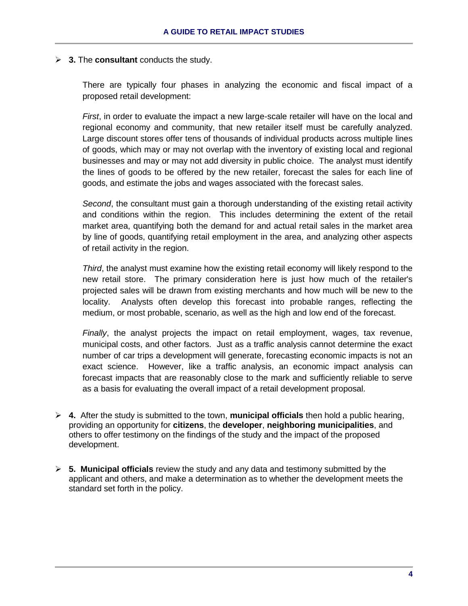**3.** The **consultant** conducts the study.

There are typically four phases in analyzing the economic and fiscal impact of a proposed retail development:

*First*, in order to evaluate the impact a new large-scale retailer will have on the local and regional economy and community, that new retailer itself must be carefully analyzed. Large discount stores offer tens of thousands of individual products across multiple lines of goods, which may or may not overlap with the inventory of existing local and regional businesses and may or may not add diversity in public choice. The analyst must identify the lines of goods to be offered by the new retailer, forecast the sales for each line of goods, and estimate the jobs and wages associated with the forecast sales.

*Second*, the consultant must gain a thorough understanding of the existing retail activity and conditions within the region. This includes determining the extent of the retail market area, quantifying both the demand for and actual retail sales in the market area by line of goods, quantifying retail employment in the area, and analyzing other aspects of retail activity in the region.

*Third*, the analyst must examine how the existing retail economy will likely respond to the new retail store. The primary consideration here is just how much of the retailer's projected sales will be drawn from existing merchants and how much will be new to the locality. Analysts often develop this forecast into probable ranges, reflecting the medium, or most probable, scenario, as well as the high and low end of the forecast.

*Finally*, the analyst projects the impact on retail employment, wages, tax revenue, municipal costs, and other factors. Just as a traffic analysis cannot determine the exact number of car trips a development will generate, forecasting economic impacts is not an exact science. However, like a traffic analysis, an economic impact analysis can forecast impacts that are reasonably close to the mark and sufficiently reliable to serve as a basis for evaluating the overall impact of a retail development proposal.

- **4.** After the study is submitted to the town, **municipal officials** then hold a public hearing, providing an opportunity for **citizens**, the **developer**, **neighboring municipalities**, and others to offer testimony on the findings of the study and the impact of the proposed development.
- **5. Municipal officials** review the study and any data and testimony submitted by the applicant and others, and make a determination as to whether the development meets the standard set forth in the policy.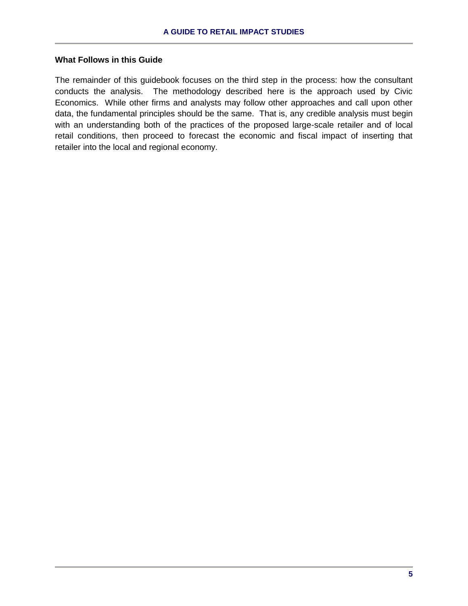# **What Follows in this Guide**

The remainder of this guidebook focuses on the third step in the process: how the consultant conducts the analysis. The methodology described here is the approach used by Civic Economics. While other firms and analysts may follow other approaches and call upon other data, the fundamental principles should be the same. That is, any credible analysis must begin with an understanding both of the practices of the proposed large-scale retailer and of local retail conditions, then proceed to forecast the economic and fiscal impact of inserting that retailer into the local and regional economy.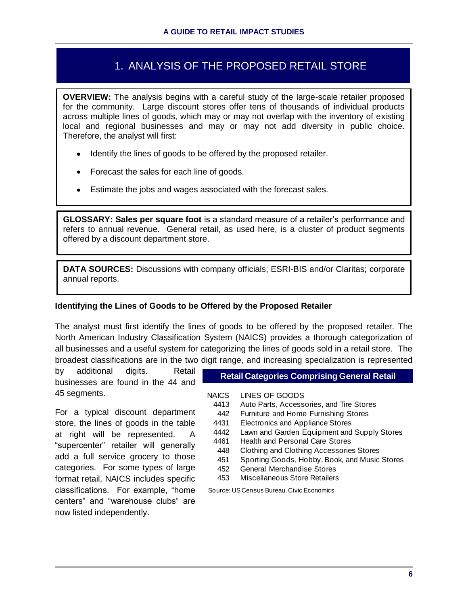# 1. ANALYSIS OF THE PROPOSED RETAIL STORE

**OVERVIEW:** The analysis begins with a careful study of the large-scale retailer proposed for the community. Large discount stores offer tens of thousands of individual products across multiple lines of goods, which may or may not overlap with the inventory of existing local and regional businesses and may or may not add diversity in public choice. Therefore, the analyst will first:

- Identify the lines of goods to be offered by the proposed retailer.
- Forecast the sales for each line of goods.
- Estimate the jobs and wages associated with the forecast sales.

**GLOSSARY: Sales per square foot** is a standard measure of a retailer's performance and refers to annual revenue. General retail, as used here, is a cluster of product segments offered by a discount department store.

**DATA SOURCES:** Discussions with company officials; ESRI-BIS and/or Claritas; corporate annual reports.

# **Identifying the Lines of Goods to be Offered by the Proposed Retailer**

The analyst must first identify the lines of goods to be offered by the proposed retailer. The North American Industry Classification System (NAICS) provides a thorough categorization of all businesses and a useful system for categorizing the lines of goods sold in a retail store. The broadest classifications are in the two digit range, and increasing specialization is represented

by additional digits. Retail businesses are found in the 44 and 45 segments.

For a typical discount department store, the lines of goods in the table at right will be represented. A "supercenter" retailer will generally add a full service grocery to those categories. For some types of large format retail, NAICS includes specific classifications. For example, "home centers" and "warehouse clubs" are now listed independently.

**Retail Categories Comprising General Retail**

**NAICS** LINES OF GOODS

- 4413 Auto Parts, Accessories, and Tire Stores
- 442 Furniture and Home Furnishing Stores
- 4431 Electronics and Appliance Stores
- 4442 Lawn and Garden Equipment and Supply Stores
- 4461 Health and Personal Care Stores
- 448 Clothing and Clothing Accessories Stores
- 451 Sporting Goods, Hobby, Book, and Music Stores
- 452 General Merchandise Stores
- 453 Miscellaneous Store Retailers

Source: US Census Bureau, Civic Economics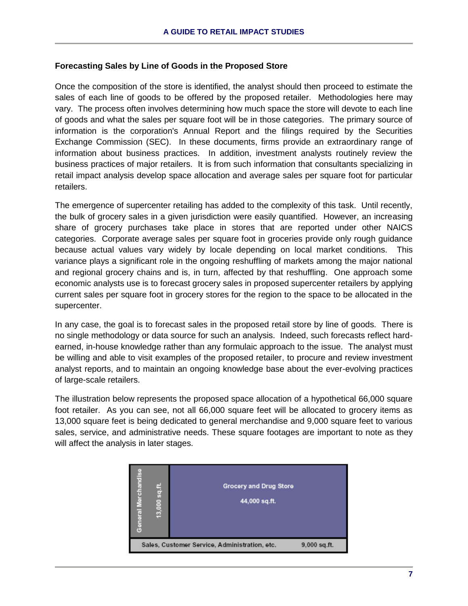#### **Forecasting Sales by Line of Goods in the Proposed Store**

Once the composition of the store is identified, the analyst should then proceed to estimate the sales of each line of goods to be offered by the proposed retailer. Methodologies here may vary. The process often involves determining how much space the store will devote to each line of goods and what the sales per square foot will be in those categories. The primary source of information is the corporation's Annual Report and the filings required by the Securities Exchange Commission (SEC). In these documents, firms provide an extraordinary range of information about business practices. In addition, investment analysts routinely review the business practices of major retailers. It is from such information that consultants specializing in retail impact analysis develop space allocation and average sales per square foot for particular retailers.

The emergence of supercenter retailing has added to the complexity of this task. Until recently, the bulk of grocery sales in a given jurisdiction were easily quantified. However, an increasing share of grocery purchases take place in stores that are reported under other NAICS categories. Corporate average sales per square foot in groceries provide only rough guidance because actual values vary widely by locale depending on local market conditions. This variance plays a significant role in the ongoing reshuffling of markets among the major national and regional grocery chains and is, in turn, affected by that reshuffling. One approach some economic analysts use is to forecast grocery sales in proposed supercenter retailers by applying current sales per square foot in grocery stores for the region to the space to be allocated in the supercenter.

In any case, the goal is to forecast sales in the proposed retail store by line of goods. There is no single methodology or data source for such an analysis. Indeed, such forecasts reflect hardearned, in-house knowledge rather than any formulaic approach to the issue. The analyst must be willing and able to visit examples of the proposed retailer, to procure and review investment analyst reports, and to maintain an ongoing knowledge base about the ever-evolving practices of large-scale retailers.

The illustration below represents the proposed space allocation of a hypothetical 66,000 square foot retailer. As you can see, not all 66,000 square feet will be allocated to grocery items as 13,000 square feet is being dedicated to general merchandise and 9,000 square feet to various sales, service, and administrative needs. These square footages are important to note as they will affect the analysis in later stages.

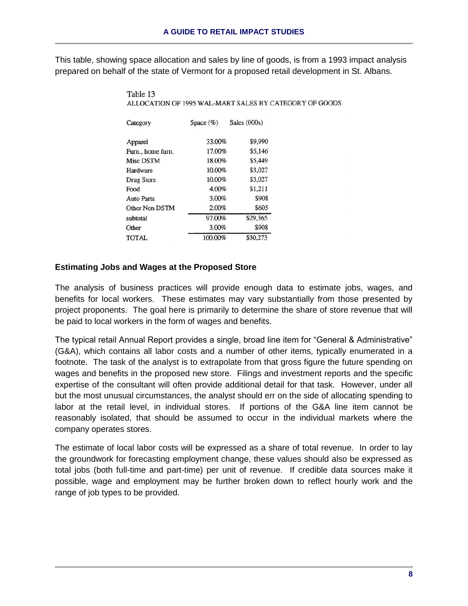This table, showing space allocation and sales by line of goods, is from a 1993 impact analysis prepared on behalf of the state of Vermont for a proposed retail development in St. Albans.

| Category          | Space $(\%)$ | Sales (000s) |
|-------------------|--------------|--------------|
| Apparel           | 33.00%       | \$9,990      |
| Furn., home furn. | 17.00%       | \$5,146      |
| Misc DSTM         | 18.00%       | \$5,449      |
| Hardware          | 10.00%       | \$3,027      |
| Drug Store        | 10.00%       | \$3,027      |
| Food              | 4.00%        | \$1.211      |
| <b>Auto Parts</b> | 3.00%        | \$908        |
| Other Non DSTM    | 2.00%        | \$605        |
| subtotal          | 97.00%       | \$29,365     |
| Other             | 3.00%        | \$908        |
| <b>TOTAL</b>      | 100.00%      | \$30,273     |

Table 13 ALLOCATION OF 1995 WAL-MART SALES BY CATEGORY OF GOODS

#### **Estimating Jobs and Wages at the Proposed Store**

The analysis of business practices will provide enough data to estimate jobs, wages, and benefits for local workers. These estimates may vary substantially from those presented by project proponents. The goal here is primarily to determine the share of store revenue that will be paid to local workers in the form of wages and benefits.

The typical retail Annual Report provides a single, broad line item for "General & Administrative" (G&A), which contains all labor costs and a number of other items, typically enumerated in a footnote. The task of the analyst is to extrapolate from that gross figure the future spending on wages and benefits in the proposed new store. Filings and investment reports and the specific expertise of the consultant will often provide additional detail for that task. However, under all but the most unusual circumstances, the analyst should err on the side of allocating spending to labor at the retail level, in individual stores. If portions of the G&A line item cannot be reasonably isolated, that should be assumed to occur in the individual markets where the company operates stores.

The estimate of local labor costs will be expressed as a share of total revenue. In order to lay the groundwork for forecasting employment change, these values should also be expressed as total jobs (both full-time and part-time) per unit of revenue. If credible data sources make it possible, wage and employment may be further broken down to reflect hourly work and the range of job types to be provided.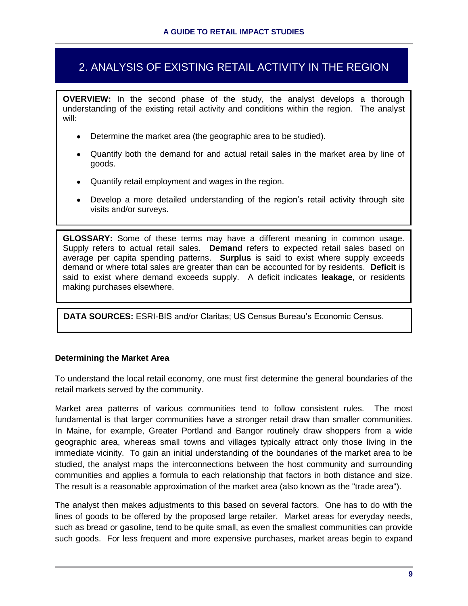# 2. ANALYSIS OF EXISTING RETAIL ACTIVITY IN THE REGION

**OVERVIEW:** In the second phase of the study, the analyst develops a thorough understanding of the existing retail activity and conditions within the region. The analyst will:

- Determine the market area (the geographic area to be studied).
- Quantify both the demand for and actual retail sales in the market area by line of goods.
- Quantify retail employment and wages in the region.
- Develop a more detailed understanding of the region's retail activity through site visits and/or surveys.

**GLOSSARY:** Some of these terms may have a different meaning in common usage. Supply refers to actual retail sales. **Demand** refers to expected retail sales based on average per capita spending patterns. **Surplus** is said to exist where supply exceeds demand or where total sales are greater than can be accounted for by residents. **Deficit** is said to exist where demand exceeds supply. A deficit indicates **leakage**, or residents making purchases elsewhere.

**DATA SOURCES:** ESRI-BIS and/or Claritas; US Census Bureau's Economic Census.

# **Determining the Market Area**

To understand the local retail economy, one must first determine the general boundaries of the retail markets served by the community.

Market area patterns of various communities tend to follow consistent rules. The most fundamental is that larger communities have a stronger retail draw than smaller communities. In Maine, for example, Greater Portland and Bangor routinely draw shoppers from a wide geographic area, whereas small towns and villages typically attract only those living in the immediate vicinity. To gain an initial understanding of the boundaries of the market area to be studied, the analyst maps the interconnections between the host community and surrounding communities and applies a formula to each relationship that factors in both distance and size. The result is a reasonable approximation of the market area (also known as the "trade area").

The analyst then makes adjustments to this based on several factors. One has to do with the lines of goods to be offered by the proposed large retailer. Market areas for everyday needs, such as bread or gasoline, tend to be quite small, as even the smallest communities can provide such goods. For less frequent and more expensive purchases, market areas begin to expand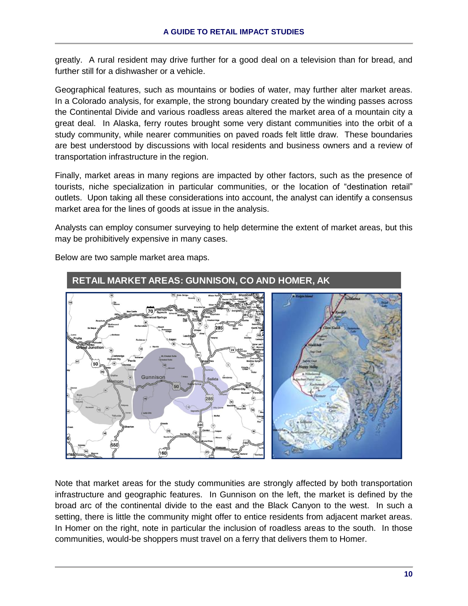greatly. A rural resident may drive further for a good deal on a television than for bread, and further still for a dishwasher or a vehicle.

Geographical features, such as mountains or bodies of water, may further alter market areas. In a Colorado analysis, for example, the strong boundary created by the winding passes across the Continental Divide and various roadless areas altered the market area of a mountain city a great deal. In Alaska, ferry routes brought some very distant communities into the orbit of a study community, while nearer communities on paved roads felt little draw. These boundaries are best understood by discussions with local residents and business owners and a review of transportation infrastructure in the region.

Finally, market areas in many regions are impacted by other factors, such as the presence of tourists, niche specialization in particular communities, or the location of "destination retail" outlets. Upon taking all these considerations into account, the analyst can identify a consensus market area for the lines of goods at issue in the analysis.

Analysts can employ consumer surveying to help determine the extent of market areas, but this may be prohibitively expensive in many cases.



Below are two sample market area maps.

Note that market areas for the study communities are strongly affected by both transportation infrastructure and geographic features. In Gunnison on the left, the market is defined by the broad arc of the continental divide to the east and the Black Canyon to the west. In such a setting, there is little the community might offer to entice residents from adjacent market areas. In Homer on the right, note in particular the inclusion of roadless areas to the south. In those communities, would-be shoppers must travel on a ferry that delivers them to Homer.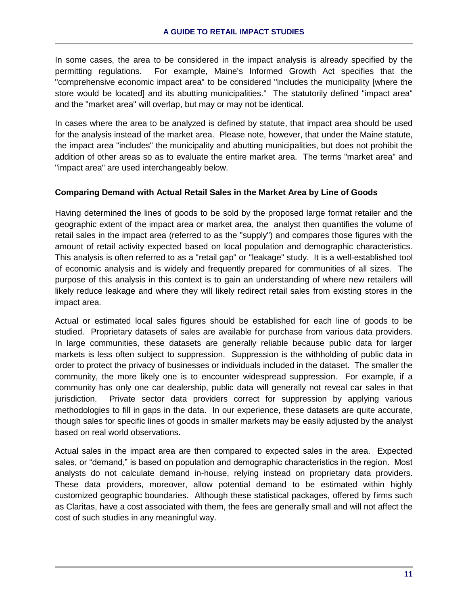In some cases, the area to be considered in the impact analysis is already specified by the permitting regulations. For example, Maine's Informed Growth Act specifies that the "comprehensive economic impact area" to be considered "includes the municipality [where the store would be located] and its abutting municipalities." The statutorily defined "impact area" and the "market area" will overlap, but may or may not be identical.

In cases where the area to be analyzed is defined by statute, that impact area should be used for the analysis instead of the market area. Please note, however, that under the Maine statute, the impact area "includes" the municipality and abutting municipalities, but does not prohibit the addition of other areas so as to evaluate the entire market area. The terms "market area" and "impact area" are used interchangeably below.

# **Comparing Demand with Actual Retail Sales in the Market Area by Line of Goods**

Having determined the lines of goods to be sold by the proposed large format retailer and the geographic extent of the impact area or market area, the analyst then quantifies the volume of retail sales in the impact area (referred to as the "supply") and compares those figures with the amount of retail activity expected based on local population and demographic characteristics. This analysis is often referred to as a "retail gap" or "leakage" study. It is a well-established tool of economic analysis and is widely and frequently prepared for communities of all sizes. The purpose of this analysis in this context is to gain an understanding of where new retailers will likely reduce leakage and where they will likely redirect retail sales from existing stores in the impact area.

Actual or estimated local sales figures should be established for each line of goods to be studied. Proprietary datasets of sales are available for purchase from various data providers. In large communities, these datasets are generally reliable because public data for larger markets is less often subject to suppression. Suppression is the withholding of public data in order to protect the privacy of businesses or individuals included in the dataset. The smaller the community, the more likely one is to encounter widespread suppression. For example, if a community has only one car dealership, public data will generally not reveal car sales in that jurisdiction. Private sector data providers correct for suppression by applying various methodologies to fill in gaps in the data. In our experience, these datasets are quite accurate, though sales for specific lines of goods in smaller markets may be easily adjusted by the analyst based on real world observations.

Actual sales in the impact area are then compared to expected sales in the area. Expected sales, or "demand," is based on population and demographic characteristics in the region. Most analysts do not calculate demand in-house, relying instead on proprietary data providers. These data providers, moreover, allow potential demand to be estimated within highly customized geographic boundaries. Although these statistical packages, offered by firms such as Claritas, have a cost associated with them, the fees are generally small and will not affect the cost of such studies in any meaningful way.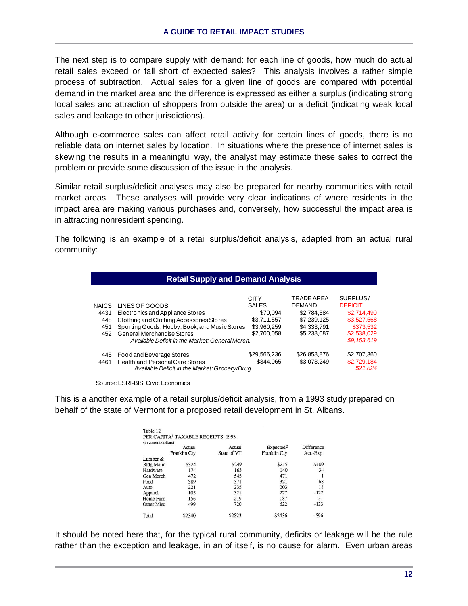The next step is to compare supply with demand: for each line of goods, how much do actual retail sales exceed or fall short of expected sales? This analysis involves a rather simple process of subtraction. Actual sales for a given line of goods are compared with potential demand in the market area and the difference is expressed as either a surplus (indicating strong local sales and attraction of shoppers from outside the area) or a deficit (indicating weak local sales and leakage to other jurisdictions).

Although e-commerce sales can affect retail activity for certain lines of goods, there is no reliable data on internet sales by location. In situations where the presence of internet sales is skewing the results in a meaningful way, the analyst may estimate these sales to correct the problem or provide some discussion of the issue in the analysis.

Similar retail surplus/deficit analyses may also be prepared for nearby communities with retail market areas. These analyses will provide very clear indications of where residents in the impact area are making various purchases and, conversely, how successful the impact area is in attracting nonresident spending.

The following is an example of a retail surplus/deficit analysis, adapted from an actual rural community:

| <b>Retail Supply and Demand Analysis</b> |                                                 |              |               |                |  |  |  |
|------------------------------------------|-------------------------------------------------|--------------|---------------|----------------|--|--|--|
|                                          |                                                 | <b>CITY</b>  | TRADE AREA    | SURPLUS/       |  |  |  |
| <b>NAICS</b>                             | LINES OF GOODS                                  | <b>SALES</b> | <b>DEMAND</b> | <b>DEFICIT</b> |  |  |  |
| 4431                                     | Electronics and Appliance Stores                | \$70.094     | \$2,784,584   | \$2,714,490    |  |  |  |
| 448                                      | Clothing and Clothing Accessories Stores        | \$3.711.557  | \$7.239.125   | \$3.527.568    |  |  |  |
| 451                                      | Sporting Goods, Hobby, Book, and Music Stores   | \$3,960,259  | \$4.333.791   | \$373.532      |  |  |  |
| 452                                      | General Merchandise Stores                      | \$2,700,058  | \$5,238,087   | \$2,538,029    |  |  |  |
|                                          | Available Deficit in the Market: General Merch. |              |               | \$9,153,619    |  |  |  |
| 445                                      | Food and Beverage Stores                        | \$29,566,236 | \$26,858,876  | \$2,707,360    |  |  |  |
| 4461                                     | Health and Personal Care Stores                 | \$344.065    | \$3,073,249   | \$2,729,184    |  |  |  |
|                                          | Available Deficit in the Market: Grocery/Drug   |              |               | \$21.824       |  |  |  |

Source: ESRI-BIS, Civic Economics

This is a another example of a retail surplus/deficit analysis, from a 1993 study prepared on behalf of the state of Vermont for a proposed retail development in St. Albans.

|                   | Actual              | Actual      | Expected <sup>2</sup> | Difference |
|-------------------|---------------------|-------------|-----------------------|------------|
|                   | <b>Franklin Ctv</b> | State of VT | Franklin Cty          | Act.-Exp.  |
| Lumber $&$        |                     |             |                       |            |
| <b>Bldg Maint</b> | \$324               | \$249       | \$215                 | \$109      |
| Hardware          | 174                 | 163         | 140                   | 34         |
| Gen Merch         | 472                 | 545         | 471                   |            |
| Food              | 389                 | 371         | 321                   | 68         |
| Auto              | 221                 | 235         | 203                   | 18         |
| Apparel           | 105                 | 321         | 277                   | $-172$     |
| Home Furn         | 156                 | 219         | 187                   | $-31$      |
| Other Misc        | 499                 | 720         | 622                   | $-123$     |

It should be noted here that, for the typical rural community, deficits or leakage will be the rule rather than the exception and leakage, in an of itself, is no cause for alarm. Even urban areas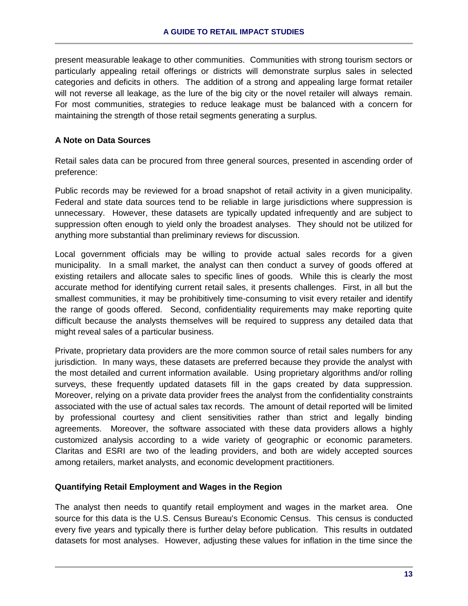present measurable leakage to other communities. Communities with strong tourism sectors or particularly appealing retail offerings or districts will demonstrate surplus sales in selected categories and deficits in others. The addition of a strong and appealing large format retailer will not reverse all leakage, as the lure of the big city or the novel retailer will always remain. For most communities, strategies to reduce leakage must be balanced with a concern for maintaining the strength of those retail segments generating a surplus.

# **A Note on Data Sources**

Retail sales data can be procured from three general sources, presented in ascending order of preference:

Public records may be reviewed for a broad snapshot of retail activity in a given municipality. Federal and state data sources tend to be reliable in large jurisdictions where suppression is unnecessary. However, these datasets are typically updated infrequently and are subject to suppression often enough to yield only the broadest analyses. They should not be utilized for anything more substantial than preliminary reviews for discussion.

Local government officials may be willing to provide actual sales records for a given municipality. In a small market, the analyst can then conduct a survey of goods offered at existing retailers and allocate sales to specific lines of goods. While this is clearly the most accurate method for identifying current retail sales, it presents challenges. First, in all but the smallest communities, it may be prohibitively time-consuming to visit every retailer and identify the range of goods offered. Second, confidentiality requirements may make reporting quite difficult because the analysts themselves will be required to suppress any detailed data that might reveal sales of a particular business.

Private, proprietary data providers are the more common source of retail sales numbers for any jurisdiction. In many ways, these datasets are preferred because they provide the analyst with the most detailed and current information available. Using proprietary algorithms and/or rolling surveys, these frequently updated datasets fill in the gaps created by data suppression. Moreover, relying on a private data provider frees the analyst from the confidentiality constraints associated with the use of actual sales tax records. The amount of detail reported will be limited by professional courtesy and client sensitivities rather than strict and legally binding agreements. Moreover, the software associated with these data providers allows a highly customized analysis according to a wide variety of geographic or economic parameters. Claritas and ESRI are two of the leading providers, and both are widely accepted sources among retailers, market analysts, and economic development practitioners.

# **Quantifying Retail Employment and Wages in the Region**

The analyst then needs to quantify retail employment and wages in the market area. One source for this data is the U.S. Census Bureau's Economic Census. This census is conducted every five years and typically there is further delay before publication. This results in outdated datasets for most analyses. However, adjusting these values for inflation in the time since the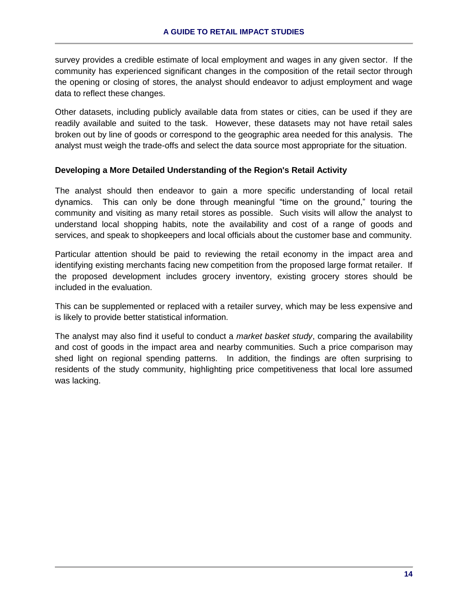survey provides a credible estimate of local employment and wages in any given sector. If the community has experienced significant changes in the composition of the retail sector through the opening or closing of stores, the analyst should endeavor to adjust employment and wage data to reflect these changes.

Other datasets, including publicly available data from states or cities, can be used if they are readily available and suited to the task. However, these datasets may not have retail sales broken out by line of goods or correspond to the geographic area needed for this analysis. The analyst must weigh the trade-offs and select the data source most appropriate for the situation.

# **Developing a More Detailed Understanding of the Region's Retail Activity**

The analyst should then endeavor to gain a more specific understanding of local retail dynamics. This can only be done through meaningful "time on the ground," touring the community and visiting as many retail stores as possible. Such visits will allow the analyst to understand local shopping habits, note the availability and cost of a range of goods and services, and speak to shopkeepers and local officials about the customer base and community.

Particular attention should be paid to reviewing the retail economy in the impact area and identifying existing merchants facing new competition from the proposed large format retailer. If the proposed development includes grocery inventory, existing grocery stores should be included in the evaluation.

This can be supplemented or replaced with a retailer survey, which may be less expensive and is likely to provide better statistical information.

The analyst may also find it useful to conduct a *market basket study*, comparing the availability and cost of goods in the impact area and nearby communities. Such a price comparison may shed light on regional spending patterns. In addition, the findings are often surprising to residents of the study community, highlighting price competitiveness that local lore assumed was lacking.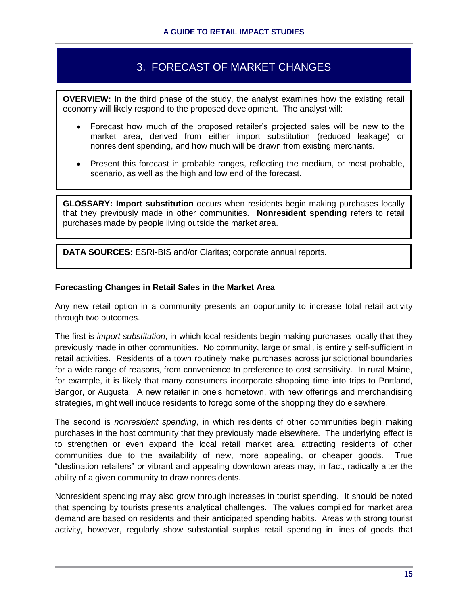# 3. FORECAST OF MARKET CHANGES

**OVERVIEW:** In the third phase of the study, the analyst examines how the existing retail economy will likely respond to the proposed development. The analyst will:

- Forecast how much of the proposed retailer's projected sales will be new to the  $\bullet$ market area, derived from either import substitution (reduced leakage) or nonresident spending, and how much will be drawn from existing merchants.
- Present this forecast in probable ranges, reflecting the medium, or most probable, scenario, as well as the high and low end of the forecast.

**GLOSSARY: Import substitution** occurs when residents begin making purchases locally that they previously made in other communities. **Nonresident spending** refers to retail purchases made by people living outside the market area.

**DATA SOURCES:** ESRI-BIS and/or Claritas; corporate annual reports.

#### **Forecasting Changes in Retail Sales in the Market Area**

Any new retail option in a community presents an opportunity to increase total retail activity through two outcomes.

The first is *import substitution*, in which local residents begin making purchases locally that they previously made in other communities. No community, large or small, is entirely self-sufficient in retail activities. Residents of a town routinely make purchases across jurisdictional boundaries for a wide range of reasons, from convenience to preference to cost sensitivity. In rural Maine, for example, it is likely that many consumers incorporate shopping time into trips to Portland, Bangor, or Augusta. A new retailer in one's hometown, with new offerings and merchandising strategies, might well induce residents to forego some of the shopping they do elsewhere.

The second is *nonresident spending*, in which residents of other communities begin making purchases in the host community that they previously made elsewhere. The underlying effect is to strengthen or even expand the local retail market area, attracting residents of other communities due to the availability of new, more appealing, or cheaper goods. True "destination retailers" or vibrant and appealing downtown areas may, in fact, radically alter the ability of a given community to draw nonresidents.

Nonresident spending may also grow through increases in tourist spending. It should be noted that spending by tourists presents analytical challenges. The values compiled for market area demand are based on residents and their anticipated spending habits. Areas with strong tourist activity, however, regularly show substantial surplus retail spending in lines of goods that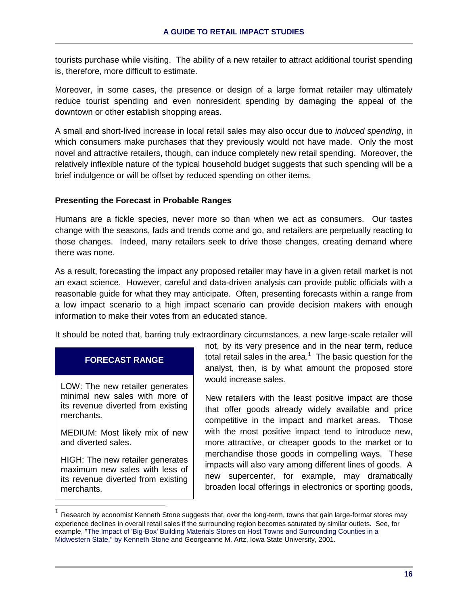tourists purchase while visiting. The ability of a new retailer to attract additional tourist spending is, therefore, more difficult to estimate.

Moreover, in some cases, the presence or design of a large format retailer may ultimately reduce tourist spending and even nonresident spending by damaging the appeal of the downtown or other establish shopping areas.

A small and short-lived increase in local retail sales may also occur due to *induced spending*, in which consumers make purchases that they previously would not have made. Only the most novel and attractive retailers, though, can induce completely new retail spending. Moreover, the relatively inflexible nature of the typical household budget suggests that such spending will be a brief indulgence or will be offset by reduced spending on other items.

# **Presenting the Forecast in Probable Ranges**

Humans are a fickle species, never more so than when we act as consumers. Our tastes change with the seasons, fads and trends come and go, and retailers are perpetually reacting to those changes. Indeed, many retailers seek to drive those changes, creating demand where there was none.

As a result, forecasting the impact any proposed retailer may have in a given retail market is not an exact science. However, careful and data-driven analysis can provide public officials with a reasonable guide for what they may anticipate. Often, presenting forecasts within a range from a low impact scenario to a high impact scenario can provide decision makers with enough information to make their votes from an educated stance.

It should be noted that, barring truly extraordinary circumstances, a new large-scale retailer will

# **FORECAST RANGE**

LOW: The new retailer generates minimal new sales with more of its revenue diverted from existing merchants.

MEDIUM: Most likely mix of new and diverted sales.

HIGH: The new retailer generates maximum new sales with less of its revenue diverted from existing merchants.

 $\overline{a}$ 

not, by its very presence and in the near term, reduce total retail sales in the area. $1$  The basic question for the analyst, then, is by what amount the proposed store would increase sales.

New retailers with the least positive impact are those that offer goods already widely available and price competitive in the impact and market areas. Those with the most positive impact tend to introduce new, more attractive, or cheaper goods to the market or to merchandise those goods in compelling ways. These impacts will also vary among different lines of goods. A new supercenter, for example, may dramatically broaden local offerings in electronics or sporting goods,

<sup>1</sup> Research by economist Kenneth Stone suggests that, over the long-term, towns that gain large-format stores may experience declines in overall retail sales if the surrounding region becomes saturated by similar outlets. See, for example, "The Impact of 'Big-Box' Building Materials Stores on Host Towns and Surrounding Counties in a Midwestern State," by Kenneth Stone and Georgeanne M. Artz, Iowa State University, 2001.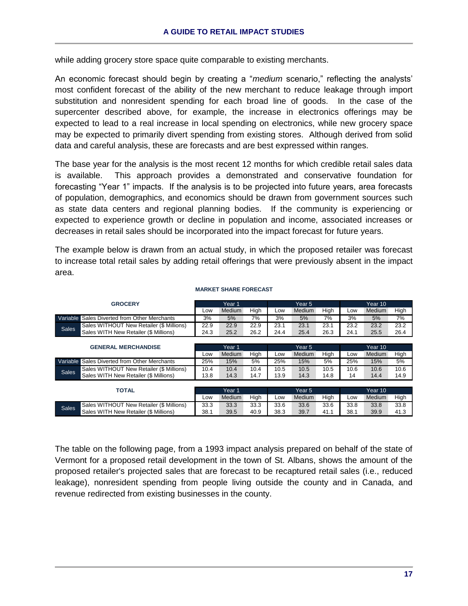while adding grocery store space quite comparable to existing merchants.

An economic forecast should begin by creating a "*medium* scenario," reflecting the analysts' most confident forecast of the ability of the new merchant to reduce leakage through import substitution and nonresident spending for each broad line of goods. In the case of the supercenter described above, for example, the increase in electronics offerings may be expected to lead to a real increase in local spending on electronics, while new grocery space may be expected to primarily divert spending from existing stores. Although derived from solid data and careful analysis, these are forecasts and are best expressed within ranges.

The base year for the analysis is the most recent 12 months for which credible retail sales data is available. This approach provides a demonstrated and conservative foundation for forecasting "Year 1" impacts. If the analysis is to be projected into future years, area forecasts of population, demographics, and economics should be drawn from government sources such as state data centers and regional planning bodies. If the community is experiencing or expected to experience growth or decline in population and income, associated increases or decreases in retail sales should be incorporated into the impact forecast for future years.

The example below is drawn from an actual study, in which the proposed retailer was forecast to increase total retail sales by adding retail offerings that were previously absent in the impact area.

|                            | <b>GROCERY</b>                           | Year 1 |        | Year 5 |        |               | Year 10 |         |        |      |
|----------------------------|------------------------------------------|--------|--------|--------|--------|---------------|---------|---------|--------|------|
|                            |                                          | Low    | Medium | High   | Low    | <b>Medium</b> | High    | Low     | Medium | High |
| Variable                   | Sales Diverted from Other Merchants      | 3%     | 5%     | 7%     | 3%     | 5%            | 7%      | 3%      | 5%     | 7%   |
| <b>Sales</b>               | Sales WITHOUT New Retailer (\$ Millions) | 22.9   | 22.9   | 22.9   | 23.1   | 23.1          | 23.1    | 23.2    | 23.2   | 23.2 |
|                            | Sales WITH New Retailer (\$ Millions)    | 24.3   | 25.2   | 26.2   | 24.4   | 25.4          | 26.3    | 24.1    | 25.5   | 26.4 |
|                            |                                          |        |        |        |        |               |         |         |        |      |
| <b>GENERAL MERCHANDISE</b> |                                          | Year 1 |        |        | Year 5 |               |         | Year 10 |        |      |
|                            |                                          | Low    | Medium | High   | Low    | Medium        | High    | Low     | Medium | High |
| Variable                   | Sales Diverted from Other Merchants      | 25%    | 15%    | 5%     | 25%    | 15%           | 5%      | 25%     | 15%    | 5%   |
| <b>Sales</b>               | Sales WITHOUT New Retailer (\$ Millions) | 10.4   | 10.4   | 10.4   | 10.5   | 10.5          | 10.5    | 10.6    | 10.6   | 10.6 |
|                            | Sales WITH New Retailer (\$ Millions)    | 13.8   | 14.3   | 14.7   | 13.9   | 14.3          | 14.8    | 14      | 14.4   | 14.9 |
|                            |                                          |        |        |        |        |               |         |         |        |      |
|                            | <b>TOTAL</b>                             |        | Year 1 |        | Year 5 |               |         | Year 10 |        |      |
|                            |                                          | Low    | Medium | High   | Low    | <b>Medium</b> | High    | Low     | Medium | High |
| <b>Sales</b>               | Sales WITHOUT New Retailer (\$ Millions) | 33.3   | 33.3   | 33.3   | 33.6   | 33.6          | 33.6    | 33.8    | 33.8   | 33.8 |
|                            | Sales WITH New Retailer (\$ Millions)    | 38.1   | 39.5   | 40.9   | 38.3   | 39.7          | 41.1    | 38.1    | 39.9   | 41.3 |

#### **MARKET SHARE FORECAST**

The table on the following page, from a 1993 impact analysis prepared on behalf of the state of Vermont for a proposed retail development in the town of St. Albans, shows the amount of the proposed retailer's projected sales that are forecast to be recaptured retail sales (i.e., reduced leakage), nonresident spending from people living outside the county and in Canada, and revenue redirected from existing businesses in the county.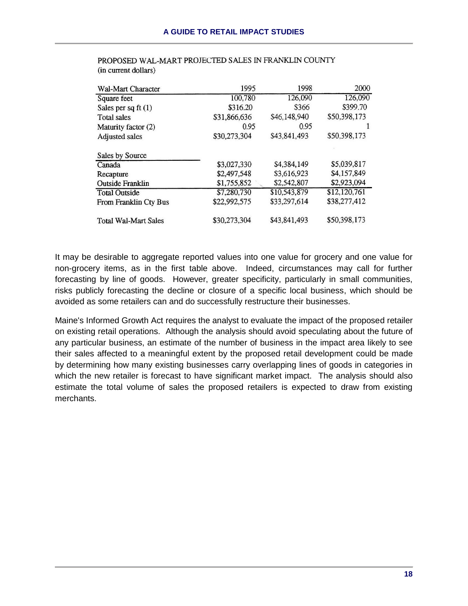| Wal-Mart Character          | 1995         | 1998         | 2000         |
|-----------------------------|--------------|--------------|--------------|
| Square feet                 | 100,780      | 126,090      | 126,090      |
| Sales per sq ft $(1)$       | \$316.20     | \$366        | \$399.70     |
| Total sales                 | \$31,866,636 | \$46,148,940 | \$50,398,173 |
| Maturity factor (2)         | 0.95         | 0.95         |              |
| Adjusted sales              | \$30,273,304 | \$43,841,493 | \$50,398,173 |
| Sales by Source             |              |              |              |
| Canada                      | \$3,027,330  | \$4,384,149  | \$5,039,817  |
| Recapture                   | \$2,497,548  | \$3,616,923  | \$4,157,849  |
| <b>Outside Franklin</b>     | \$1,755,852  | \$2,542,807  | \$2,923,094  |
| <b>Total Outside</b>        | \$7,280,730  | \$10,543,879 | \$12,120,761 |
| From Franklin Cty Bus       | \$22,992,575 | \$33,297,614 | \$38,277,412 |
| <b>Total Wal-Mart Sales</b> | \$30,273,304 | \$43,841,493 | \$50,398,173 |

PROPOSED WAL-MART PROJECTED SALES IN FRANKLIN COUNTY (in current dollars)

It may be desirable to aggregate reported values into one value for grocery and one value for non-grocery items, as in the first table above. Indeed, circumstances may call for further forecasting by line of goods. However, greater specificity, particularly in small communities, risks publicly forecasting the decline or closure of a specific local business, which should be avoided as some retailers can and do successfully restructure their businesses.

Maine's Informed Growth Act requires the analyst to evaluate the impact of the proposed retailer on existing retail operations. Although the analysis should avoid speculating about the future of any particular business, an estimate of the number of business in the impact area likely to see their sales affected to a meaningful extent by the proposed retail development could be made by determining how many existing businesses carry overlapping lines of goods in categories in which the new retailer is forecast to have significant market impact. The analysis should also estimate the total volume of sales the proposed retailers is expected to draw from existing merchants.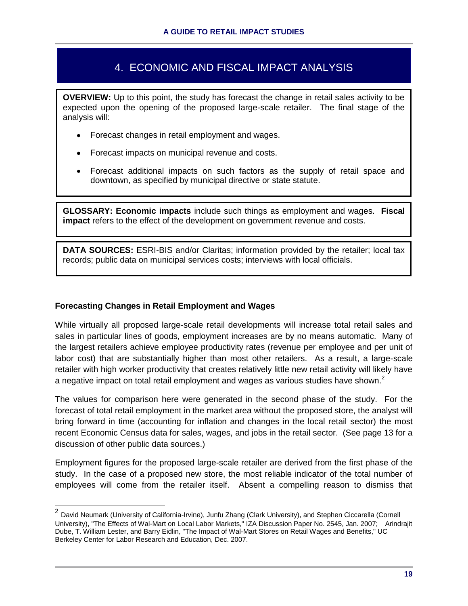# 4. ECONOMIC AND FISCAL IMPACT ANALYSIS

**OVERVIEW:** Up to this point, the study has forecast the change in retail sales activity to be expected upon the opening of the proposed large-scale retailer. The final stage of the analysis will:

- Forecast changes in retail employment and wages.
- Forecast impacts on municipal revenue and costs.
- Forecast additional impacts on such factors as the supply of retail space and downtown, as specified by municipal directive or state statute.

**GLOSSARY: Economic impacts** include such things as employment and wages. **Fiscal impact** refers to the effect of the development on government revenue and costs.

**DATA SOURCES:** ESRI-BIS and/or Claritas; information provided by the retailer; local tax records; public data on municipal services costs; interviews with local officials.

# **Forecasting Changes in Retail Employment and Wages**

While virtually all proposed large-scale retail developments will increase total retail sales and sales in particular lines of goods, employment increases are by no means automatic. Many of the largest retailers achieve employee productivity rates (revenue per employee and per unit of labor cost) that are substantially higher than most other retailers. As a result, a large-scale retailer with high worker productivity that creates relatively little new retail activity will likely have a negative impact on total retail employment and wages as various studies have shown. $<sup>2</sup>$ </sup>

The values for comparison here were generated in the second phase of the study. For the forecast of total retail employment in the market area without the proposed store, the analyst will bring forward in time (accounting for inflation and changes in the local retail sector) the most recent Economic Census data for sales, wages, and jobs in the retail sector. (See page 13 for a discussion of other public data sources.)

Employment figures for the proposed large-scale retailer are derived from the first phase of the study. In the case of a proposed new store, the most reliable indicator of the total number of employees will come from the retailer itself. Absent a compelling reason to dismiss that

 2 David Neumark (University of California-Irvine), Junfu Zhang (Clark University), and Stephen Ciccarella (Cornell University), "The Effects of Wal-Mart on Local Labor Markets," IZA Discussion Paper No. 2545, Jan. 2007; Arindrajit Dube, T. William Lester, and Barry Eidlin, "The Impact of Wal-Mart Stores on Retail Wages and Benefits," UC Berkeley Center for Labor Research and Education, Dec. 2007.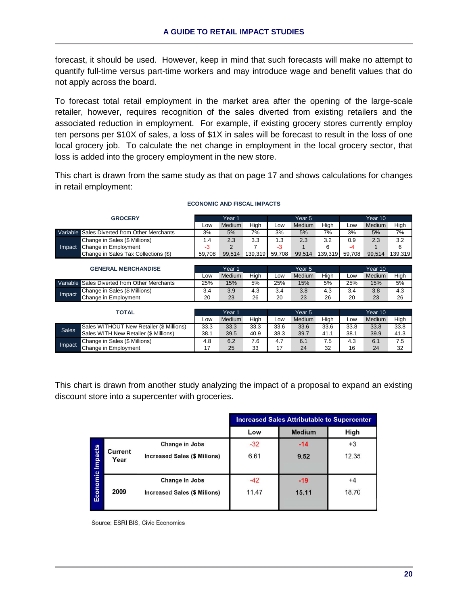forecast, it should be used. However, keep in mind that such forecasts will make no attempt to quantify full-time versus part-time workers and may introduce wage and benefit values that do not apply across the board.

To forecast total retail employment in the market area after the opening of the large-scale retailer, however, requires recognition of the sales diverted from existing retailers and the associated reduction in employment. For example, if existing grocery stores currently employ ten persons per \$10X of sales, a loss of \$1X in sales will be forecast to result in the loss of one local grocery job. To calculate the net change in employment in the local grocery sector, that loss is added into the grocery employment in the new store.

This chart is drawn from the same study as that on page 17 and shows calculations for changes in retail employment:

| <b>GROCERY</b>                                  |        | Year 1 |         |        | Year 5 |         |        | Year 10 |         |  |
|-------------------------------------------------|--------|--------|---------|--------|--------|---------|--------|---------|---------|--|
|                                                 | Low    | Medium | High    | Low    | Medium | High    | Low    | Medium  | High    |  |
| Sales Diverted from Other Merchants<br>Variable | 3%     | 5%     | 7%      | 3%     | 5%     | 7%      | 3%     | 5%      | 7%      |  |
| Change in Sales (\$ Millions)                   | 1.4    | 2.3    | 3.3     | 1.3    | 2.3    | 3.2     | 0.9    | 2.3     | 3.2     |  |
| Change in Employment<br>Impact                  | -3     | 2      |         | $-3$   |        | 6       | $-4$   |         | 6       |  |
| Change in Sales Tax Collections (\$)            | 59.708 | 99.514 | 139.319 | 59.708 | 99.514 | 139.319 | 59.708 | 99.514  | 139.319 |  |
|                                                 |        |        |         |        |        |         |        |         |         |  |
|                                                 |        |        |         |        |        |         |        |         |         |  |
| <b>GENERAL MERCHANDISE</b>                      |        | Year 1 |         |        | Year 5 |         |        | Year 10 |         |  |
|                                                 | Low    | Medium | High    | Low    | Medium | High    | Low    | Medium  | High    |  |
| Sales Diverted from Other Merchants<br>Variable | 25%    | 15%    | 5%      | 25%    | 15%    | 5%      | 25%    | 15%     | 5%      |  |
| Change in Sales (\$ Millions)                   | 3.4    | 3.9    | 4.3     | 3.4    | 3.8    | 4.3     | 3.4    | 3.8     | 4.3     |  |
| Impact<br>Change in Employment                  | 20     | 23     | 26      | 20     | 23     | 26      | 20     | 23      | 26      |  |
|                                                 |        |        |         |        |        |         |        |         |         |  |

Low Medium High Low Medium High Low Medium High

#### **ECONOMIC AND FISCAL IMPACTS**

This chart is drawn from another study analyzing the impact of a proposal to expand an existing discount store into a supercenter with groceries.

Sales WITHOUT New Retailer (\$ Millions) 33.3 33.3 33.3 33.6 33.6 33.6 33.8 33.8 33.8 Sales WITH New Retailer (\$ Millions) 38.1 39.5 40.9 38.3 39.7 41.1 38.1 39.9 41.3 Change in Sales (\$ Millions) 4.8 6.2 7.6 4.7 6.1 7.5 4.3 6.1 7.5 Change in Employment 17 25 33 17 24 32 16 24 32

|          |                 |                                                       |                | <b>Increased Sales Attributable to Supercenter</b> |               |
|----------|-----------------|-------------------------------------------------------|----------------|----------------------------------------------------|---------------|
|          |                 |                                                       | Low            | <b>Medium</b>                                      | High          |
|          |                 | Change in Jobs                                        | $-32$          | $-14$                                              | $+3$          |
| Impacts  | Current<br>Year | <b>Increased Sales (\$ Milions)</b>                   | 6.61           | 9.52                                               | 12.35         |
| Economic | 2009            | Change in Jobs<br><b>Increased Sales (\$ Milions)</b> | $-42$<br>11.47 | $-19$<br>15.11                                     | $+4$<br>18.70 |

Source: ESRI BIS, Civic Economics

Impact

Sales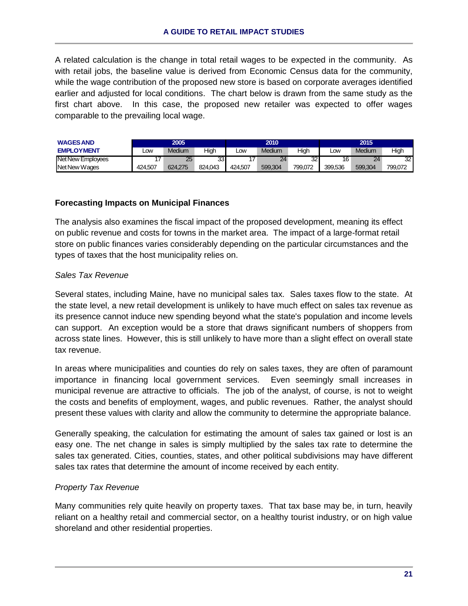A related calculation is the change in total retail wages to be expected in the community. As with retail jobs, the baseline value is derived from Economic Census data for the community, while the wage contribution of the proposed new store is based on corporate averages identified earlier and adjusted for local conditions. The chart below is drawn from the same study as the first chart above. In this case, the proposed new retailer was expected to offer wages comparable to the prevailing local wage.

| <b>WAGES AND</b>  | 2005    |         |         | 2010       |         |         | 2015       |         |         |
|-------------------|---------|---------|---------|------------|---------|---------|------------|---------|---------|
| <b>EMPLOYMENT</b> | _OW     | Medium  | High    | <b>LOW</b> | Medium  | High    | <b>LOW</b> | Medium  | High    |
| Net New Employees |         | 25      | 33      |            | 24      | 32      | 16         | 24      | 32      |
| Net New Wages     | 424.507 | 624.275 | 824.043 | 424.507    | 599.304 | 799.072 | 399.536    | 599.304 | 799.072 |

# **Forecasting Impacts on Municipal Finances**

The analysis also examines the fiscal impact of the proposed development, meaning its effect on public revenue and costs for towns in the market area. The impact of a large-format retail store on public finances varies considerably depending on the particular circumstances and the types of taxes that the host municipality relies on.

# *Sales Tax Revenue*

Several states, including Maine, have no municipal sales tax. Sales taxes flow to the state. At the state level, a new retail development is unlikely to have much effect on sales tax revenue as its presence cannot induce new spending beyond what the state's population and income levels can support. An exception would be a store that draws significant numbers of shoppers from across state lines. However, this is still unlikely to have more than a slight effect on overall state tax revenue.

In areas where municipalities and counties do rely on sales taxes, they are often of paramount importance in financing local government services. Even seemingly small increases in municipal revenue are attractive to officials. The job of the analyst, of course, is not to weight the costs and benefits of employment, wages, and public revenues. Rather, the analyst should present these values with clarity and allow the community to determine the appropriate balance.

Generally speaking, the calculation for estimating the amount of sales tax gained or lost is an easy one. The net change in sales is simply multiplied by the sales tax rate to determine the sales tax generated. Cities, counties, states, and other political subdivisions may have different sales tax rates that determine the amount of income received by each entity.

# *Property Tax Revenue*

Many communities rely quite heavily on property taxes. That tax base may be, in turn, heavily reliant on a healthy retail and commercial sector, on a healthy tourist industry, or on high value shoreland and other residential properties.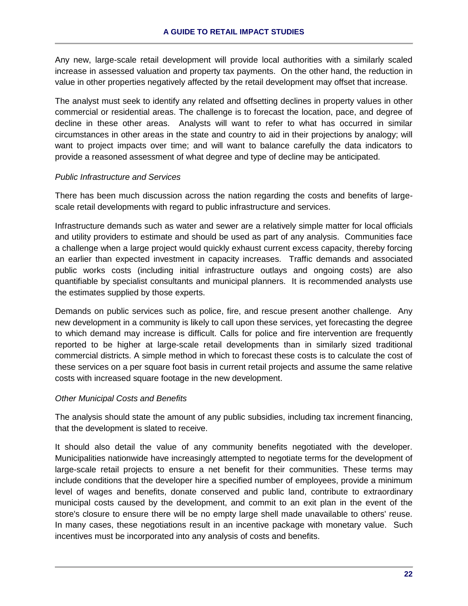Any new, large-scale retail development will provide local authorities with a similarly scaled increase in assessed valuation and property tax payments. On the other hand, the reduction in value in other properties negatively affected by the retail development may offset that increase.

The analyst must seek to identify any related and offsetting declines in property values in other commercial or residential areas. The challenge is to forecast the location, pace, and degree of decline in these other areas. Analysts will want to refer to what has occurred in similar circumstances in other areas in the state and country to aid in their projections by analogy; will want to project impacts over time; and will want to balance carefully the data indicators to provide a reasoned assessment of what degree and type of decline may be anticipated.

# *Public Infrastructure and Services*

There has been much discussion across the nation regarding the costs and benefits of largescale retail developments with regard to public infrastructure and services.

Infrastructure demands such as water and sewer are a relatively simple matter for local officials and utility providers to estimate and should be used as part of any analysis. Communities face a challenge when a large project would quickly exhaust current excess capacity, thereby forcing an earlier than expected investment in capacity increases. Traffic demands and associated public works costs (including initial infrastructure outlays and ongoing costs) are also quantifiable by specialist consultants and municipal planners. It is recommended analysts use the estimates supplied by those experts.

Demands on public services such as police, fire, and rescue present another challenge. Any new development in a community is likely to call upon these services, yet forecasting the degree to which demand may increase is difficult. Calls for police and fire intervention are frequently reported to be higher at large-scale retail developments than in similarly sized traditional commercial districts. A simple method in which to forecast these costs is to calculate the cost of these services on a per square foot basis in current retail projects and assume the same relative costs with increased square footage in the new development.

# *Other Municipal Costs and Benefits*

The analysis should state the amount of any public subsidies, including tax increment financing, that the development is slated to receive.

It should also detail the value of any community benefits negotiated with the developer. Municipalities nationwide have increasingly attempted to negotiate terms for the development of large-scale retail projects to ensure a net benefit for their communities. These terms may include conditions that the developer hire a specified number of employees, provide a minimum level of wages and benefits, donate conserved and public land, contribute to extraordinary municipal costs caused by the development, and commit to an exit plan in the event of the store's closure to ensure there will be no empty large shell made unavailable to others' reuse. In many cases, these negotiations result in an incentive package with monetary value. Such incentives must be incorporated into any analysis of costs and benefits.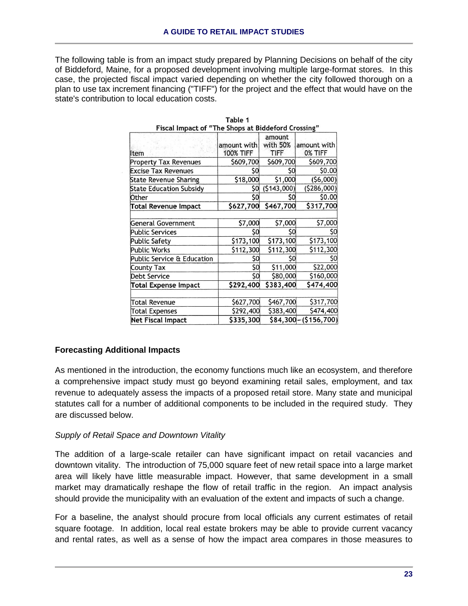The following table is from an impact study prepared by Planning Decisions on behalf of the city of Biddeford, Maine, for a proposed development involving multiple large-format stores. In this case, the projected fiscal impact varied depending on whether the city followed thorough on a plan to use tax increment financing ("TIFF") for the project and the effect that would have on the state's contribution to local education costs.

| Fiscal Impact of "The Shops at Biddeford Crossing" |                                 |                                   |                        |
|----------------------------------------------------|---------------------------------|-----------------------------------|------------------------|
| ltem                                               | amount with<br><b>100% TIFF</b> | amount<br>with 50%<br><b>TIFF</b> | amount with<br>0% TIFF |
| <b>Property Tax Revenues</b>                       | \$609,700                       | \$609,700                         | \$609,700              |
| <b>Excise Tax Revenues</b>                         | \$0                             | S0                                | \$0.00                 |
| <b>State Revenue Sharing</b>                       | \$18,000                        | \$1,000                           | (56,000)               |
| <b>State Education Subsidy</b>                     | S0                              | (5143,000)                        | ( \$286,000)           |
| Other                                              | \$0                             | \$0                               | \$0.00                 |
| <b>Total Revenue Impact</b>                        | \$627,700                       | \$467,700                         | \$317,700              |
|                                                    |                                 |                                   |                        |
| General Government                                 | \$7,000                         | \$7,000                           | \$7,000                |
| <b>Public Services</b>                             | \$0                             | \$0                               | \$0                    |
| <b>Public Safety</b>                               | \$173,100                       | \$173,100                         | \$173,100              |
| Public Works                                       | \$112,300                       | \$112,300                         | \$112,300              |
| Public Service & Education                         | \$0                             | \$0                               | SO                     |
| County Tax                                         | \$0                             | \$11,000                          | \$22,000               |
| <b>Debt Service</b>                                | \$0                             | \$80,000                          | \$160,000              |
| <b>Total Expense Impact</b>                        | \$292,400                       | \$383,400                         | \$474,400              |
|                                                    |                                 |                                   |                        |
| Total Revenue                                      | \$627,700                       | \$467,700                         | \$317,700              |
| Total Expenses                                     | \$292,400                       | \$383,400                         | \$474,400              |
| <b>Net Fiscal Impact</b>                           | \$335,300                       |                                   | $$84,300 - ($156,700)$ |

| Table 1                                            |  |
|----------------------------------------------------|--|
| Fiscal Impact of "The Shops at Biddeford Crossing" |  |

# **Forecasting Additional Impacts**

As mentioned in the introduction, the economy functions much like an ecosystem, and therefore a comprehensive impact study must go beyond examining retail sales, employment, and tax revenue to adequately assess the impacts of a proposed retail store. Many state and municipal statutes call for a number of additional components to be included in the required study. They are discussed below.

# *Supply of Retail Space and Downtown Vitality*

The addition of a large-scale retailer can have significant impact on retail vacancies and downtown vitality. The introduction of 75,000 square feet of new retail space into a large market area will likely have little measurable impact. However, that same development in a small market may dramatically reshape the flow of retail traffic in the region. An impact analysis should provide the municipality with an evaluation of the extent and impacts of such a change.

For a baseline, the analyst should procure from local officials any current estimates of retail square footage. In addition, local real estate brokers may be able to provide current vacancy and rental rates, as well as a sense of how the impact area compares in those measures to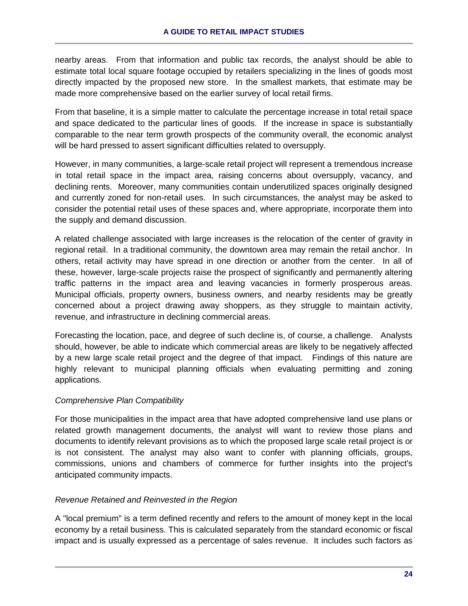nearby areas. From that information and public tax records, the analyst should be able to estimate total local square footage occupied by retailers specializing in the lines of goods most directly impacted by the proposed new store. In the smallest markets, that estimate may be made more comprehensive based on the earlier survey of local retail firms.

From that baseline, it is a simple matter to calculate the percentage increase in total retail space and space dedicated to the particular lines of goods. If the increase in space is substantially comparable to the near term growth prospects of the community overall, the economic analyst will be hard pressed to assert significant difficulties related to oversupply.

However, in many communities, a large-scale retail project will represent a tremendous increase in total retail space in the impact area, raising concerns about oversupply, vacancy, and declining rents. Moreover, many communities contain underutilized spaces originally designed and currently zoned for non-retail uses. In such circumstances, the analyst may be asked to consider the potential retail uses of these spaces and, where appropriate, incorporate them into the supply and demand discussion.

A related challenge associated with large increases is the relocation of the center of gravity in regional retail. In a traditional community, the downtown area may remain the retail anchor. In others, retail activity may have spread in one direction or another from the center. In all of these, however, large-scale projects raise the prospect of significantly and permanently altering traffic patterns in the impact area and leaving vacancies in formerly prosperous areas. Municipal officials, property owners, business owners, and nearby residents may be greatly concerned about a project drawing away shoppers, as they struggle to maintain activity, revenue, and infrastructure in declining commercial areas.

Forecasting the location, pace, and degree of such decline is, of course, a challenge. Analysts should, however, be able to indicate which commercial areas are likely to be negatively affected by a new large scale retail project and the degree of that impact. Findings of this nature are highly relevant to municipal planning officials when evaluating permitting and zoning applications.

# *Comprehensive Plan Compatibility*

For those municipalities in the impact area that have adopted comprehensive land use plans or related growth management documents, the analyst will want to review those plans and documents to identify relevant provisions as to which the proposed large scale retail project is or is not consistent. The analyst may also want to confer with planning officials, groups, commissions, unions and chambers of commerce for further insights into the project's anticipated community impacts.

# *Revenue Retained and Reinvested in the Region*

A "local premium" is a term defined recently and refers to the amount of money kept in the local economy by a retail business. This is calculated separately from the standard economic or fiscal impact and is usually expressed as a percentage of sales revenue. It includes such factors as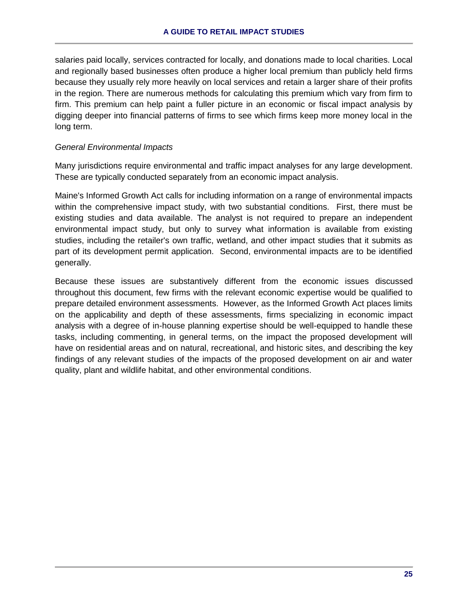salaries paid locally, services contracted for locally, and donations made to local charities. Local and regionally based businesses often produce a higher local premium than publicly held firms because they usually rely more heavily on local services and retain a larger share of their profits in the region. There are numerous methods for calculating this premium which vary from firm to firm. This premium can help paint a fuller picture in an economic or fiscal impact analysis by digging deeper into financial patterns of firms to see which firms keep more money local in the long term.

# *General Environmental Impacts*

Many jurisdictions require environmental and traffic impact analyses for any large development. These are typically conducted separately from an economic impact analysis.

Maine's Informed Growth Act calls for including information on a range of environmental impacts within the comprehensive impact study, with two substantial conditions. First, there must be existing studies and data available. The analyst is not required to prepare an independent environmental impact study, but only to survey what information is available from existing studies, including the retailer's own traffic, wetland, and other impact studies that it submits as part of its development permit application. Second, environmental impacts are to be identified generally.

Because these issues are substantively different from the economic issues discussed throughout this document, few firms with the relevant economic expertise would be qualified to prepare detailed environment assessments. However, as the Informed Growth Act places limits on the applicability and depth of these assessments, firms specializing in economic impact analysis with a degree of in-house planning expertise should be well-equipped to handle these tasks, including commenting, in general terms, on the impact the proposed development will have on residential areas and on natural, recreational, and historic sites, and describing the key findings of any relevant studies of the impacts of the proposed development on air and water quality, plant and wildlife habitat, and other environmental conditions.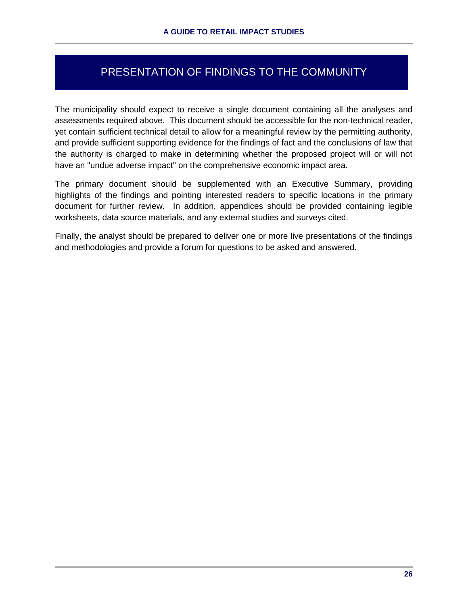# PRESENTATION OF FINDINGS TO THE COMMUNITY

The municipality should expect to receive a single document containing all the analyses and assessments required above. This document should be accessible for the non-technical reader, yet contain sufficient technical detail to allow for a meaningful review by the permitting authority, and provide sufficient supporting evidence for the findings of fact and the conclusions of law that the authority is charged to make in determining whether the proposed project will or will not have an "undue adverse impact" on the comprehensive economic impact area.

The primary document should be supplemented with an Executive Summary, providing highlights of the findings and pointing interested readers to specific locations in the primary document for further review. In addition, appendices should be provided containing legible worksheets, data source materials, and any external studies and surveys cited.

Finally, the analyst should be prepared to deliver one or more live presentations of the findings and methodologies and provide a forum for questions to be asked and answered.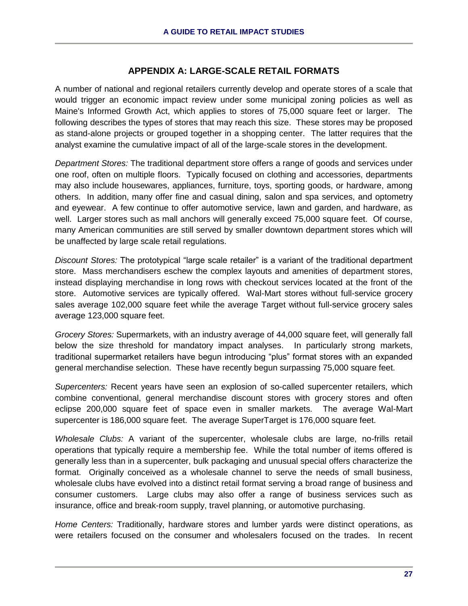# **APPENDIX A: LARGE-SCALE RETAIL FORMATS**

A number of national and regional retailers currently develop and operate stores of a scale that would trigger an economic impact review under some municipal zoning policies as well as Maine's Informed Growth Act, which applies to stores of 75,000 square feet or larger. The following describes the types of stores that may reach this size. These stores may be proposed as stand-alone projects or grouped together in a shopping center. The latter requires that the analyst examine the cumulative impact of all of the large-scale stores in the development.

*Department Stores:* The traditional department store offers a range of goods and services under one roof, often on multiple floors. Typically focused on clothing and accessories, departments may also include housewares, appliances, furniture, toys, sporting goods, or hardware, among others. In addition, many offer fine and casual dining, salon and spa services, and optometry and eyewear. A few continue to offer automotive service, lawn and garden, and hardware, as well. Larger stores such as mall anchors will generally exceed 75,000 square feet. Of course, many American communities are still served by smaller downtown department stores which will be unaffected by large scale retail regulations.

*Discount Stores:* The prototypical "large scale retailer" is a variant of the traditional department store. Mass merchandisers eschew the complex layouts and amenities of department stores, instead displaying merchandise in long rows with checkout services located at the front of the store. Automotive services are typically offered. Wal-Mart stores without full-service grocery sales average 102,000 square feet while the average Target without full-service grocery sales average 123,000 square feet.

*Grocery Stores:* Supermarkets, with an industry average of 44,000 square feet, will generally fall below the size threshold for mandatory impact analyses. In particularly strong markets, traditional supermarket retailers have begun introducing "plus" format stores with an expanded general merchandise selection. These have recently begun surpassing 75,000 square feet.

*Supercenters:* Recent years have seen an explosion of so-called supercenter retailers, which combine conventional, general merchandise discount stores with grocery stores and often eclipse 200,000 square feet of space even in smaller markets. The average Wal-Mart supercenter is 186,000 square feet. The average SuperTarget is 176,000 square feet.

*Wholesale Clubs:* A variant of the supercenter, wholesale clubs are large, no-frills retail operations that typically require a membership fee. While the total number of items offered is generally less than in a supercenter, bulk packaging and unusual special offers characterize the format. Originally conceived as a wholesale channel to serve the needs of small business, wholesale clubs have evolved into a distinct retail format serving a broad range of business and consumer customers. Large clubs may also offer a range of business services such as insurance, office and break-room supply, travel planning, or automotive purchasing.

*Home Centers:* Traditionally, hardware stores and lumber yards were distinct operations, as were retailers focused on the consumer and wholesalers focused on the trades. In recent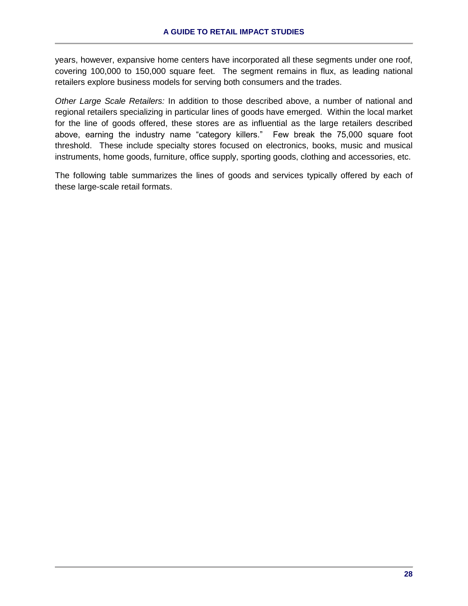years, however, expansive home centers have incorporated all these segments under one roof, covering 100,000 to 150,000 square feet. The segment remains in flux, as leading national retailers explore business models for serving both consumers and the trades.

*Other Large Scale Retailers:* In addition to those described above, a number of national and regional retailers specializing in particular lines of goods have emerged. Within the local market for the line of goods offered, these stores are as influential as the large retailers described above, earning the industry name "category killers." Few break the 75,000 square foot threshold. These include specialty stores focused on electronics, books, music and musical instruments, home goods, furniture, office supply, sporting goods, clothing and accessories, etc.

The following table summarizes the lines of goods and services typically offered by each of these large-scale retail formats.